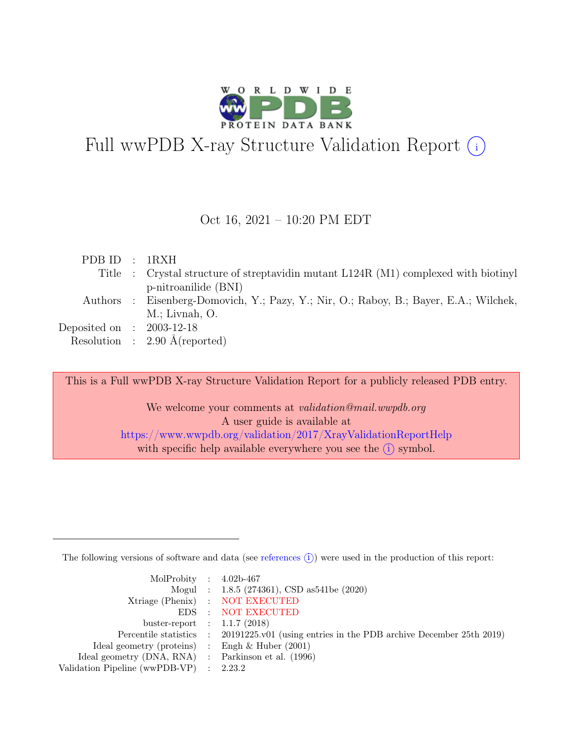

# Full wwPDB X-ray Structure Validation Report  $(i)$

#### Oct 16, 2021 – 10:20 PM EDT

| PDBID : 1RXH                |                                                                                       |
|-----------------------------|---------------------------------------------------------------------------------------|
|                             | Title : Crystal structure of streptavidin mutant L124R (M1) complexed with biotinyl   |
|                             | p-nitroanilide (BNI)                                                                  |
|                             | Authors : Eisenberg-Domovich, Y.; Pazy, Y.; Nir, O.; Raboy, B.; Bayer, E.A.; Wilchek, |
|                             | $M$ .; Livnah, O.                                                                     |
| Deposited on : $2003-12-18$ |                                                                                       |
|                             | Resolution : $2.90 \text{ Å}$ (reported)                                              |

This is a Full wwPDB X-ray Structure Validation Report for a publicly released PDB entry.

We welcome your comments at validation@mail.wwpdb.org A user guide is available at <https://www.wwpdb.org/validation/2017/XrayValidationReportHelp> with specific help available everywhere you see the  $(i)$  symbol.

The following versions of software and data (see [references](https://www.wwpdb.org/validation/2017/XrayValidationReportHelp#references)  $(i)$ ) were used in the production of this report:

| MolProbity : $4.02b-467$                            |                                                                                            |
|-----------------------------------------------------|--------------------------------------------------------------------------------------------|
|                                                     | Mogul : 1.8.5 (274361), CSD as541be (2020)                                                 |
|                                                     | Xtriage (Phenix) : NOT EXECUTED                                                            |
|                                                     | EDS : NOT EXECUTED                                                                         |
| buster-report : $1.1.7$ (2018)                      |                                                                                            |
|                                                     | Percentile statistics : 20191225.v01 (using entries in the PDB archive December 25th 2019) |
| Ideal geometry (proteins) : Engh $\&$ Huber (2001)  |                                                                                            |
| Ideal geometry (DNA, RNA) : Parkinson et al. (1996) |                                                                                            |
| Validation Pipeline (wwPDB-VP) : $2.23.2$           |                                                                                            |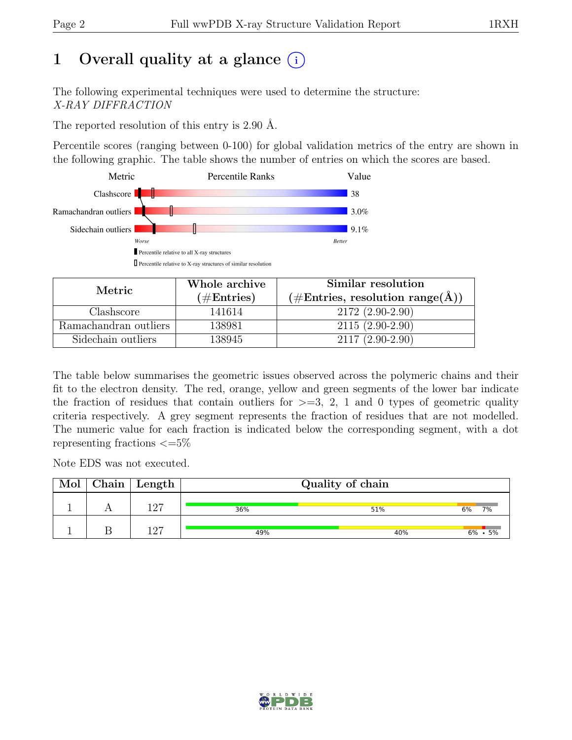# 1 Overall quality at a glance  $(i)$

The following experimental techniques were used to determine the structure: X-RAY DIFFRACTION

The reported resolution of this entry is 2.90 Å.

Percentile scores (ranging between 0-100) for global validation metrics of the entry are shown in the following graphic. The table shows the number of entries on which the scores are based.



| Metric                | Whole archive | Similar resolution                                        |  |  |
|-----------------------|---------------|-----------------------------------------------------------|--|--|
|                       | $(\#Entries)$ | $(\# \text{Entries}, \text{ resolution range}(\text{A}))$ |  |  |
| Clashscore            | 141614        | $2172(2.90-2.90)$                                         |  |  |
| Ramachandran outliers | 138981        | $2115(2.90-2.90)$                                         |  |  |
| Sidechain outliers    | 138945        | $2117(2.90-2.90)$                                         |  |  |

The table below summarises the geometric issues observed across the polymeric chains and their fit to the electron density. The red, orange, yellow and green segments of the lower bar indicate the fraction of residues that contain outliers for  $\geq$ =3, 2, 1 and 0 types of geometric quality criteria respectively. A grey segment represents the fraction of residues that are not modelled. The numeric value for each fraction is indicated below the corresponding segment, with a dot representing fractions  $\epsilon = 5\%$ 

Note EDS was not executed.

| Mol | $\mid$ Chain $\mid$ Length |     | Quality of chain |                 |
|-----|----------------------------|-----|------------------|-----------------|
|     | 1 ດ7                       | 36% | 51%              | 6%<br>7%        |
|     | 197                        | 49% | 40%              | $6\% \cdot 5\%$ |

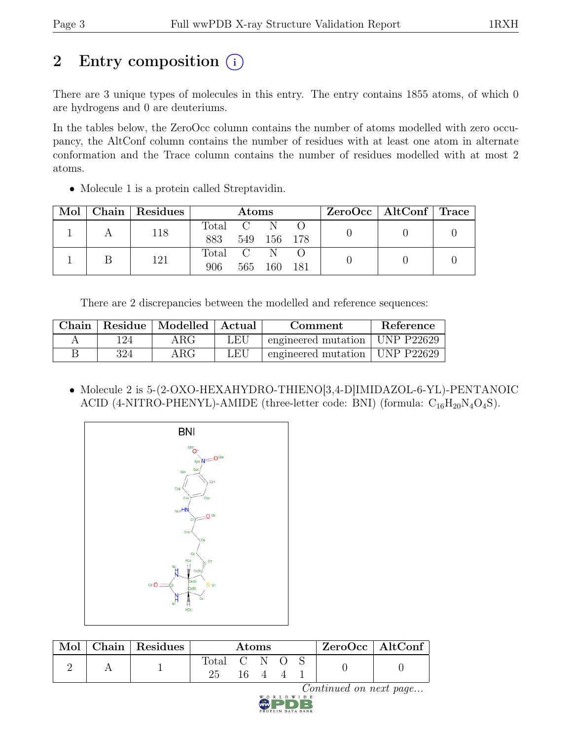# 2 Entry composition (i)

There are 3 unique types of molecules in this entry. The entry contains 1855 atoms, of which 0 are hydrogens and 0 are deuteriums.

In the tables below, the ZeroOcc column contains the number of atoms modelled with zero occupancy, the AltConf column contains the number of residues with at least one atom in alternate conformation and the Trace column contains the number of residues modelled with at most 2 atoms.

• Molecule 1 is a protein called Streptavidin.

| Mol | ⊢Chain | Residues | <b>Atoms</b> |                                   |             |      | $ZeroOcc \mid AltConf \mid Trace$ |  |  |
|-----|--------|----------|--------------|-----------------------------------|-------------|------|-----------------------------------|--|--|
|     |        | 118      | Total        | $\hspace{1.6cm} C \hspace{1.6cm}$ |             |      |                                   |  |  |
|     |        |          | 883          |                                   | 549 156 178 |      |                                   |  |  |
|     |        | 121      | Total C      |                                   |             |      |                                   |  |  |
|     |        |          | 906          |                                   | 565 160     | -181 |                                   |  |  |

There are 2 discrepancies between the modelled and reference sequences:

|      | Chain   Residue   Modelled   Actual |     | Comment                          | Reference |
|------|-------------------------------------|-----|----------------------------------|-----------|
| ' 24 | $\rm{ARG}$                          | LEU | engineered mutation   UNP P22629 |           |
| 324  | $\rm{ARG}$                          | LEU | engineered mutation   UNP P22629 |           |

• Molecule 2 is 5-(2-OXO-HEXAHYDRO-THIENO[3,4-D]IMIDAZOL-6-YL)-PENTANOIC ACID (4-NITRO-PHENYL)-AMIDE (three-letter code: BNI) (formula:  $C_{16}H_{20}N_4O_4S$ ).



| Mol | Chain   Residues $\frac{1}{2}$ | Atoms       |  |  |  |  | $ZeroOcc \mid AltConf \mid$ |  |
|-----|--------------------------------|-------------|--|--|--|--|-----------------------------|--|
|     |                                | Total C N O |  |  |  |  |                             |  |

 $\mathop{Continued}\limits_{\text{point}}$  on next page...

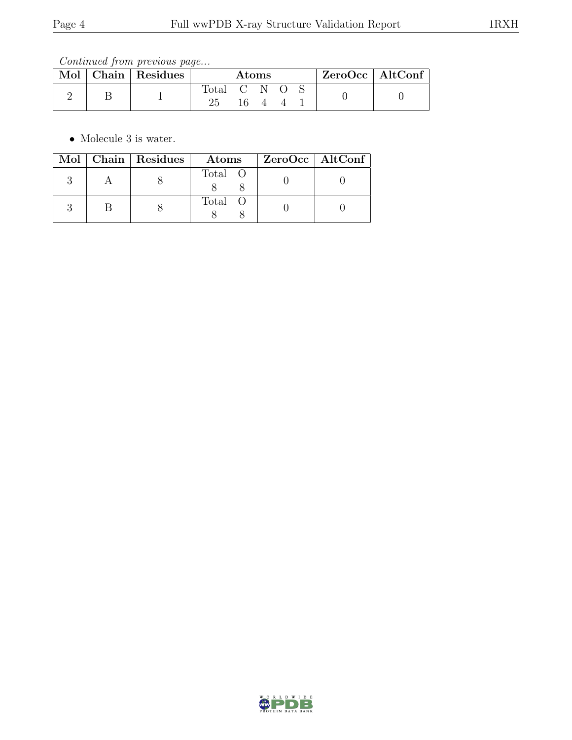Continued from previous page...

| Mol | Chain Residues | Atoms       |      |  |  | $ZeroOcc \mid AltConf \mid$ |  |  |
|-----|----------------|-------------|------|--|--|-----------------------------|--|--|
|     |                | Total C N O | 16 4 |  |  |                             |  |  |

• Molecule 3 is water.

|  | Mol   Chain   Residues | Atoms   | $ZeroOcc \mid AltConf$ |  |
|--|------------------------|---------|------------------------|--|
|  |                        | Total O |                        |  |
|  |                        | Total O |                        |  |

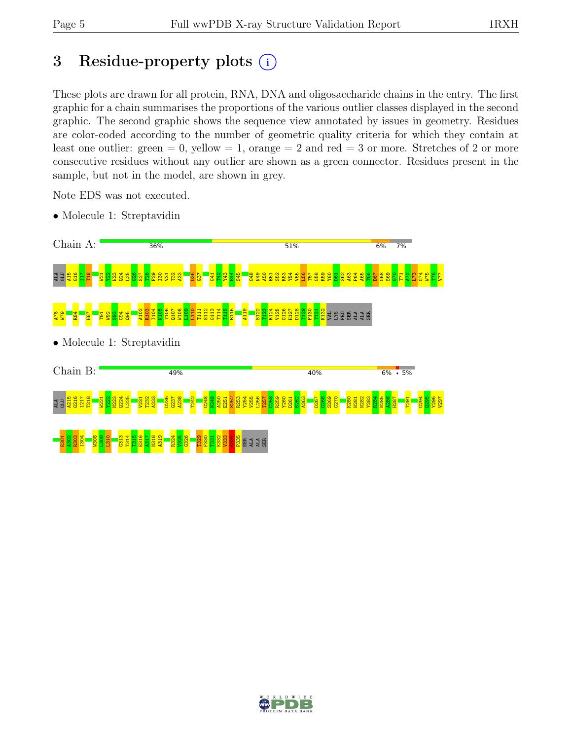# 3 Residue-property plots  $(i)$

These plots are drawn for all protein, RNA, DNA and oligosaccharide chains in the entry. The first graphic for a chain summarises the proportions of the various outlier classes displayed in the second graphic. The second graphic shows the sequence view annotated by issues in geometry. Residues are color-coded according to the number of geometric quality criteria for which they contain at least one outlier: green  $= 0$ , yellow  $= 1$ , orange  $= 2$  and red  $= 3$  or more. Stretches of 2 or more consecutive residues without any outlier are shown as a green connector. Residues present in the sample, but not in the model, are shown in grey.

Note EDS was not executed.

• Molecule 1: Streptavidin



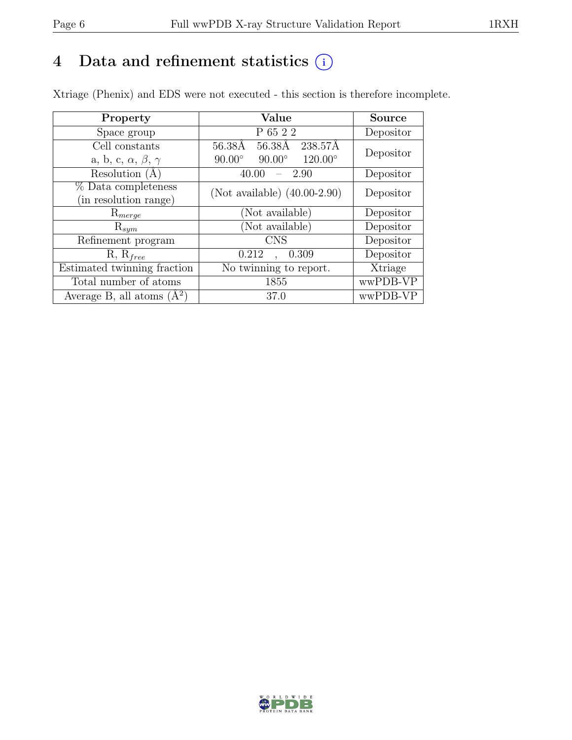# 4 Data and refinement statistics  $(i)$

Xtriage (Phenix) and EDS were not executed - this section is therefore incomplete.

| Property                               | Value                                              | <b>Source</b> |  |
|----------------------------------------|----------------------------------------------------|---------------|--|
| Space group                            | $\rm P$ 65 2 2                                     | Depositor     |  |
| Cell constants                         | 56.38Å 238.57Å<br>56.38Å                           | Depositor     |  |
| a, b, c, $\alpha$ , $\beta$ , $\gamma$ | $90.00^\circ$<br>$90.00^\circ$<br>$120.00^{\circ}$ |               |  |
| Resolution (A)                         | 2.90<br>40.00                                      | Depositor     |  |
| % Data completeness                    | (Not available) $(40.00-2.90)$                     | Depositor     |  |
| (in resolution range)                  |                                                    |               |  |
| $\mathrm{R}_{merge}$                   | (Not available)                                    | Depositor     |  |
| $\mathrm{R}_{sym}$                     | (Not available)                                    | Depositor     |  |
| Refinement program                     | <b>CNS</b>                                         | Depositor     |  |
| $R, R_{free}$                          | 0.212<br>0.309                                     | Depositor     |  |
| Estimated twinning fraction            | No twinning to report.                             | Xtriage       |  |
| Total number of atoms                  | 1855                                               | wwPDB-VP      |  |
| Average B, all atoms $(A^2)$           | 37.0                                               | wwPDB-VP      |  |

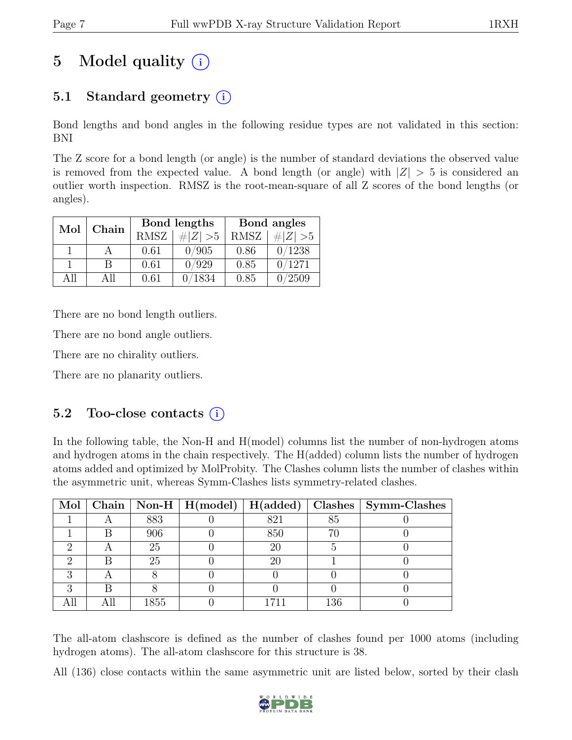# 5 Model quality  $(i)$

## 5.1 Standard geometry (i)

Bond lengths and bond angles in the following residue types are not validated in this section: BNI

The Z score for a bond length (or angle) is the number of standard deviations the observed value is removed from the expected value. A bond length (or angle) with  $|Z| > 5$  is considered an outlier worth inspection. RMSZ is the root-mean-square of all Z scores of the bond lengths (or angles).

| Mol  | Chain |             | Bond lengths | Bond angles |             |  |
|------|-------|-------------|--------------|-------------|-------------|--|
|      |       | <b>RMSZ</b> | $\# Z  > 5$  | <b>RMSZ</b> | # $ Z  > 5$ |  |
|      |       | 0.61        | 0/905        | 0.86        | 0/1238      |  |
|      | В     | 0.61        | 0/929        | 0.85        | 0/1271      |  |
| A 11 | All   | 0.61        | 0/1834       | 0.85        | 0/2509      |  |

There are no bond length outliers.

There are no bond angle outliers.

There are no chirality outliers.

There are no planarity outliers.

### 5.2 Too-close contacts  $(i)$

In the following table, the Non-H and H(model) columns list the number of non-hydrogen atoms and hydrogen atoms in the chain respectively. The H(added) column lists the number of hydrogen atoms added and optimized by MolProbity. The Clashes column lists the number of clashes within the asymmetric unit, whereas Symm-Clashes lists symmetry-related clashes.

|  |      |     |     | Mol   Chain   Non-H   H(model)   H(added)   Clashes   Symm-Clashes |
|--|------|-----|-----|--------------------------------------------------------------------|
|  | 883  | 821 | 85  |                                                                    |
|  | 906  | 850 | 70  |                                                                    |
|  | 25   | 20  |     |                                                                    |
|  | 25   | 20  |     |                                                                    |
|  |      |     |     |                                                                    |
|  |      |     |     |                                                                    |
|  | 1855 |     | 136 |                                                                    |

The all-atom clashscore is defined as the number of clashes found per 1000 atoms (including hydrogen atoms). The all-atom clashscore for this structure is 38.

All (136) close contacts within the same asymmetric unit are listed below, sorted by their clash

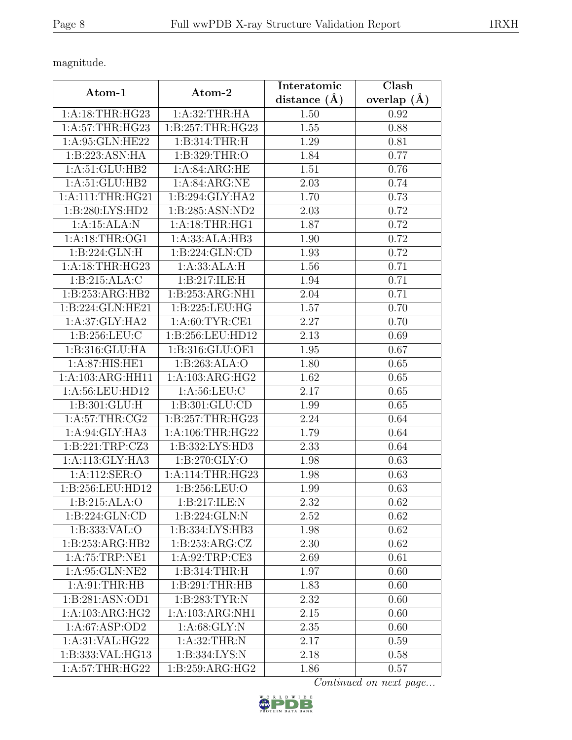magnitude.

| Atom-1               | Atom-2             | Interatomic       | Clash           |
|----------------------|--------------------|-------------------|-----------------|
|                      |                    | distance $(\AA)$  | overlap $(\AA)$ |
| 1:A:18:THR:HG23      | 1:A:32:THR:HA      | 1.50              | 0.92            |
| 1:A:57:THR:HG23      | 1:B:257:THR:HG23   | 1.55              | 0.88            |
| 1:A:95:GLN:HE22      | 1:B:314:THR:H      | 1.29              | 0.81            |
| 1:B:223:ASN:HA       | 1:B:329:THR:O      | 1.84              | 0.77            |
| 1:A:51:GLU:HB2       | 1: A:84: ARG:HE    | 1.51              | 0.76            |
| 1:A:51:GLU:HB2       | 1: A:84: ARG:NE    | 2.03              | 0.74            |
| 1: A: 111: THR: HG21 | 1:B:294:GLY:HA2    | 1.70              | 0.73            |
| 1:B:280:LYS:HD2      | 1:B:285:ASN:ND2    | 2.03              | 0.72            |
| 1:A:15:ALA:N         | 1:A:18:THR:HG1     | 1.87              | 0.72            |
| 1:A:18:THR:OG1       | 1:A:33:ALA:HB3     | 1.90              | 0.72            |
| 1:B:224:GLN:H        | 1:B:224:GLN:CD     | 1.93              | 0.72            |
| 1: A:18:THR:HG23     | 1:A:33:ALA:H       | 1.56              | 0.71            |
| 1:B:215:ALA:C        | 1:B:217:ILE:H      | 1.94              | 0.71            |
| 1:B:253:ARG:HB2      | 1:B:253:ARG:NH1    | 2.04              | 0.71            |
| 1:B:224:GLN:HE21     | 1:B:225:LEU:HG     | 1.57              | 0.70            |
| 1:A:37:GLY:HA2       | 1: A:60: TYR:CE1   | $\overline{2}.27$ | 0.70            |
| 1:B:256:LEU:C        | 1:B:256:LEU:HD12   | 2.13              | 0.69            |
| 1:B:316:GLU:HA       | 1:B:316:GLU:OE1    | 1.95              | 0.67            |
| 1: A:87: HIS: HE1    | 1:B:263:ALA:O      | 1.80              | 0.65            |
| 1:A:103:ARG:HH11     | 1:A:103:ARG:HG2    | 1.62              | 0.65            |
| 1:A:56:LEU:HD12      | 1: A:56:LEU:C      | 2.17              | 0.65            |
| 1: B:301: GLU: H     | 1:B:301:GLU:CD     | 1.99              | 0.65            |
| 1: A:57:THR:CG2      | 1:B:257:THR:HG23   | 2.24              | 0.64            |
| 1: A:94: GLY: HA3    | 1:A:106:THR:HG22   | 1.79              | 0.64            |
| 1:B:221:TRP:CZ3      | 1:B:332:LYS:HD3    | 2.33              | 0.64            |
| 1:A:113:GLY:HA3      | 1:B:270:GLY:O      | 1.98              | 0.63            |
| 1:A:112:SER:O        | 1:A:114:THR:HG23   | 1.98              | 0.63            |
| 1:B:256:LEU:HD12     | 1: B: 256: LEU: O  | 1.99              | 0.63            |
| 1:B:215:ALA:O        | 1: B:217: ILE:N    | 2.32              | 0.62            |
| 1:B:224:GLN:CD       | 1: B: 224: GLN: N  | 2.52              | 0.62            |
| 1:B:333:VAL:O        | 1:B:334:LYS:HB3    | 1.98              | 0.62            |
| 1:B:253:ARG:HB2      | 1: B: 253: ARG: CZ | 2.30              | 0.62            |
| 1:A:75:TRP:NE1       | 1: A:92:TRP:CE3    | 2.69              | 0.61            |
| 1:A:95:GLN:NE2       | 1: B: 314: THR:H   | 1.97              | 0.60            |
| 1:A:91:THR:HB        | 1:B:291:THR:HB     | 1.83              | 0.60            |
| 1:B:281:ASN:OD1      | 1:B:283:TYR:N      | 2.32              | 0.60            |
| 1:A:103:ARG:HG2      | 1:A:103:ARG:NH1    | 2.15              | 0.60            |
| 1:A:67:ASP:OD2       | 1: A:68: GLY:N     | 2.35              | 0.60            |
| 1:A:31:VAL:HG22      | 1: A:32:THR:N      | 2.17              | 0.59            |
| 1:B:333: VAL: HG13   | 1:B:334:LYS:N      | 2.18              | 0.58            |
| 1: A:57:THR:HG22     | 1: B:259: ARG: HG2 | 1.86              | 0.57            |

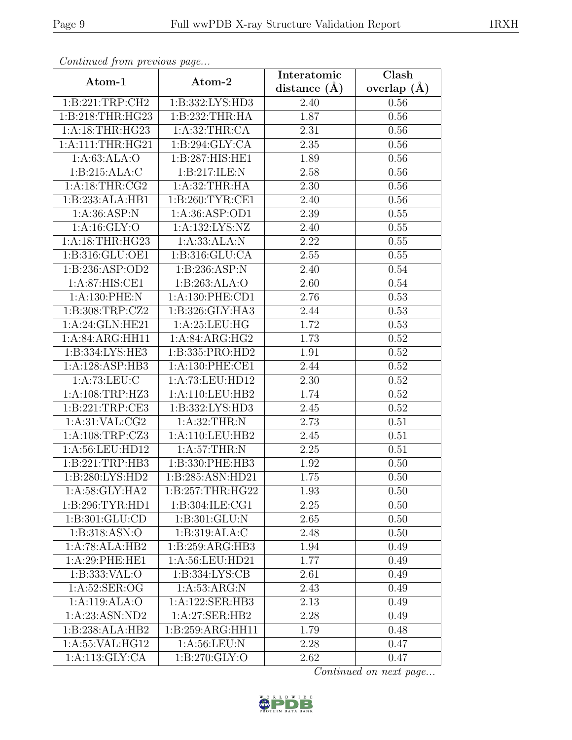| Continued from previous page |                             | Interatomic    | Clash         |
|------------------------------|-----------------------------|----------------|---------------|
| Atom-1                       | Atom-2                      | distance $(A)$ | overlap $(A)$ |
| 1:B:221:TRP:CH2              | 1:B:332:LYS:HD3             | 2.40           | 0.56          |
| 1:B:218:THR:HG23             | 1:B:232:THR:HA              | 1.87           | 0.56          |
| 1: A:18:THR:HG23             | 1: A:32:THR:CA              | 2.31           | 0.56          |
| 1:A:111:THR:HG21             | 1: B:294: GLY:CA            | 2.35           | 0.56          |
| 1: A:63: ALA:O               | 1:B:287:HIS:HE1             | 1.89           | 0.56          |
| 1: B:215: ALA: C             | 1:B:217:ILE:N               | 2.58           | 0.56          |
| 1: A:18:THR:CG2              | 1: A:32:THR:HA              | 2.30           | 0.56          |
| 1:B:233:ALA:HB1              | 1: B:260: TYR: CE1          | 2.40           | 0.56          |
| 1: A:36: ASP:N               | 1: A:36: ASP:OD1            | 2.39           | 0.55          |
| 1: A: 16: GLY: O             | 1:A:132:LYS:NZ              | 2.40           | 0.55          |
| 1: A:18:THR:HG23             | 1:A:33:ALA:N                | 2.22           | 0.55          |
| 1:B:316:GLU:OE1              | 1: B: 316: GLU: CA          | 2.55           | 0.55          |
| 1:B:236:ASP:OD2              | 1:B:236:ASP:N               | 2.40           | 0.54          |
| $1:A:87:\overline{HIS:CE1}$  | 1:B:263:ALA:O               | 2.60           | 0.54          |
| 1:A:130:PHE:N                | 1:A:130:PHE:CD1             | 2.76           | 0.53          |
| 1:B:308:TRP:CZ2              | 1:B:326:GLY:HA3             | 2.44           | 0.53          |
| 1:A:24:GLN:HE21              | 1:A:25:LEU:HG               | 1.72           | 0.53          |
| 1:A:84:ARG:HH11              | $1:A:84:ARG:H\overline{G2}$ | 1.73           | 0.52          |
| 1:B:334:LYS:HE3              | 1:B:335:PRO:HD2             | 1.91           | 0.52          |
| 1:A:128:ASP:HB3              | 1: A: 130: PHE: CE1         | 2.44           | 0.52          |
| 1:A:73:LEU:C                 | 1:A:73:LEU:HD12             | 2.30           | 0.52          |
| 1:A:108:TRP:HZ3              | 1:A:110:LEU:HB2             | 1.74           | 0.52          |
| 1:B:221:TRP:CE3              | 1:B:332:LYS:HD3             | 2.45           | 0.52          |
| 1: A:31: VAL: CG2            | 1: A:32:THR:N               | 2.73           | 0.51          |
| 1: A:108:TRP: CZ3            | 1:A:110:LEU:HB2             | 2.45           | 0.51          |
| 1:A:56:LEU:HD12              | 1: A:57:THR:N               | 2.25           | 0.51          |
| 1:B:221:TRP:HB3              | 1:B:330:PHE:HB3             | 1.92           | 0.50          |
| $1:B:280:LY\overline{S:HD2}$ | 1:B:285:ASN:HD21            | 1.75           | 0.50          |
| 1:A:58:GLY:HA2               | 1:B:257:THR:HG22            | 1.93           | 0.50          |
| 1:B:296:TYR:HD1              | 1:B:304:ILE:CG1             | 2.25           | 0.50          |
| 1: B: 301: GLU: CD           | 1:B:301:GLU:N               | 2.65           | 0.50          |
| 1:B:318:ASN:O                | 1:B:319:ALA:C               | 2.48           | 0.50          |
| 1:A:78:ALA:HB2               | 1:B:259:ARG:HB3             | 1.94           | 0.49          |
| 1:A:29:PHE:HE1               | 1:A:56:LEU:HD21             | 1.77           | 0.49          |
| 1:B:333:VAL:O                | 1: B: 334: LYS: CB          | 2.61           | 0.49          |
| 1: A:52: SER:OG              | 1: A:53: ARG:N              | 2.43           | 0.49          |
| 1:A:119:ALA:O                | 1:A:122:SER:HB3             | 2.13           | 0.49          |
| 1:A:23:ASN:ND2               | 1:A:27:SER:HB2              | 2.28           | 0.49          |
| 1:B:238:ALA:HB2              | 1:B:259:ARG:HH11            | 1.79           | 0.48          |
| 1:A:55:VAL:HG12              | 1: A:56:LEU: N              | 2.28           | 0.47          |
| 1:A:113:GLY:CA               | 1:B:270:GLY:O               | 2.62           | 0.47          |

Continued from previous page.

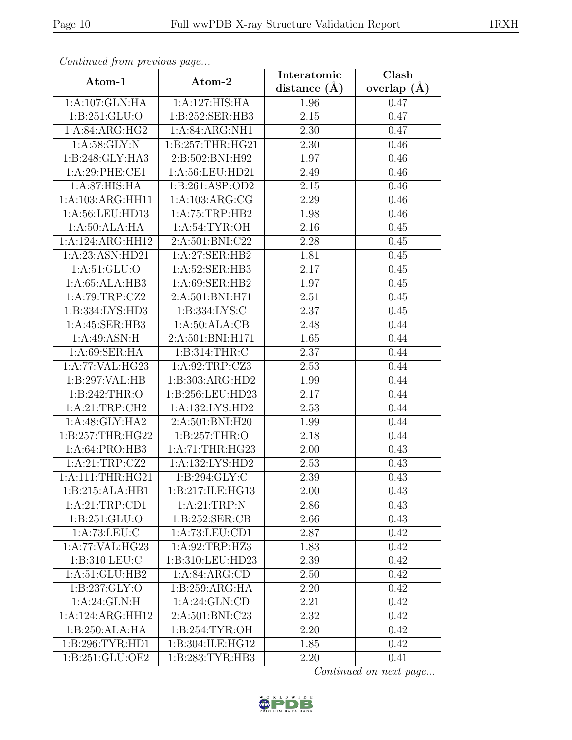| Continued from previous page |                   | Interatomic    | Clash           |
|------------------------------|-------------------|----------------|-----------------|
| Atom-1                       | Atom-2            | distance $(A)$ | overlap $(\AA)$ |
| 1:A:107:GLN:HA               | 1:A:127:HIS:HA    | 1.96           | 0.47            |
| 1: B:251: GLU:O              | 1:B:252:SER:HB3   | 2.15           | 0.47            |
| 1:A:84:ARG:HG2               | 1:A:84:ARG:NH1    | 2.30           | 0.47            |
| 1: A:58: GLY:N               | 1:B:257:THR:HG21  | 2.30           | 0.46            |
| 1:B:248:GLY:HA3              | 2:B:502:BNI:H92   | 1.97           | 0.46            |
| 1: A:29: PHE:CE1             | 1:A:56:LEU:HD21   | 2.49           | 0.46            |
| 1:A:87:HIS:HA                | 1:B:261:ASP:OD2   | 2.15           | 0.46            |
| 1:A:103:ARG:HH11             | 1:A:103:ARG:CG    | 2.29           | 0.46            |
| 1:A:56:LEU:HD13              | 1:A:75:TRP:HB2    | 1.98           | 0.46            |
| 1:A:50:ALA:HA                | 1: A:54:TYR:OH    | 2.16           | 0.45            |
| 1:A:124:ARG:HH12             | 2:A:501:BNI:C22   | 2.28           | 0.45            |
| 1:A:23:ASN:HD21              | 1:A:27:SER:HB2    | 1.81           | 0.45            |
| 1: A:51: GLU:O               | 1: A:52: SER:HB3  | 2.17           | 0.45            |
| $1:A:65:A\overline{LA:H}B3$  | 1: A:69: SER: HB2 | 1.97           | 0.45            |
| 1:A:79:TRP:CZ2               | 2:A:501:BNI:H71   | 2.51           | 0.45            |
| 1:B:334:LYS:HD3              | 1:B:334:LYS:C     | 2.37           | 0.45            |
| 1:A:45:SER:HB3               | 1: A:50:ALA:CB    | 2.48           | 0.44            |
| 1:A:49:ASN:H                 | 2:A:501:BNI:H171  | 1.65           | 0.44            |
| 1: A:69: SER: HA             | 1:B:314:THR:C     | 2.37           | 0.44            |
| 1:A:77:VAL:HG23              | 1:A:92:TRP:CZ3    | 2.53           | 0.44            |
| 1:B:297:VAL:HB               | 1:B:303:ARG:HD2   | 1.99           | 0.44            |
| 1:B:242:THR:O                | 1:B:256:LEU:HD23  | 2.17           | 0.44            |
| 1:A:21:TRP:CH2               | 1:A:132:LYS:HD2   | 2.53           | 0.44            |
| 1:A:48:GLY:HA2               | 2:A:501:BNI:H20   | 1.99           | 0.44            |
| 1:B:257:THR:HG22             | 1:B:257:THR:O     | 2.18           | 0.44            |
| 1:A:64:PRO:HB3               | 1:A:71:THR:HG23   | 2.00           | 0.43            |
| 1:A:21:TRP:CZ2               | 1:A:132:LYS:HD2   | 2.53           | 0.43            |
| 1: A: 111: THR: HG21         | 1: B:294: GLY: C  | 2.39           | 0.43            |
| 1:B:215:ALA:HB1              | 1:B:217:ILE:HG13  | 2.00           | 0.43            |
| 1:A:21:TRP:CD1               | 1:A:21:TRP:N      | 2.86           | 0.43            |
| 1: B:251: GLU:O              | 1: B:252: SER:CB  | 2.66           | 0.43            |
| 1: A: 73: LEU: C             | 1:A:73:LEU:CD1    | 2.87           | 0.42            |
| 1:A:77:VAL:HG23              | 1:A:92:TRP:HZ3    | 1.83           | 0.42            |
| 1:B:310:LEU:C                | 1:B:310:LEU:HD23  | 2.39           | 0.42            |
| 1:A:51:GLU:HB2               | 1: A:84: ARG:CD   | 2.50           | 0.42            |
| 1: B: 237: GLY: O            | 1:B:259:ARG:HA    | 2.20           | 0.42            |
| 1:A:24:GLN:H                 | 1: A:24: GLN:CD   | 2.21           | 0.42            |
| 1:A:124:ARG:HH12             | 2:A:501:BNI:C23   | 2.32           | 0.42            |
| 1:B:250:ALA:HA               | 1: B:254: TYR:OH  | 2.20           | 0.42            |
| 1: B:296: TYR: HD1           | 1:B:304:ILE:HG12  | 1.85           | 0.42            |
| 1:B:251:GLU:OE2              | 1:B:283:TYR:HB3   | 2.20           | 0.41            |

Continued from previous page.

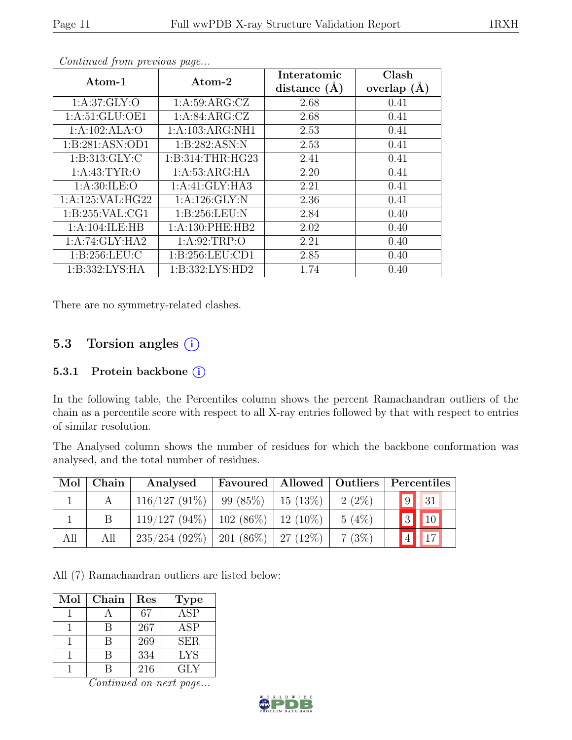| Atom-1              | Atom-2              | Interatomic<br>distance $(A)$ | Clash<br>overlap $(A)$ |
|---------------------|---------------------|-------------------------------|------------------------|
| 1: A:37: GLY:O      | 1: A:59: ARG: CZ    | 2.68                          | 0.41                   |
| 1: A:51: GLU:OE1    | 1:A:84:ARG:CZ       | 2.68                          | 0.41                   |
| 1:A:102:ALA:O       | 1:A:103:ARG:NH1     | 2.53                          | 0.41                   |
| 1: B:281: ASN:OD1   | 1:B:282:ASN:N       | 2.53                          | 0.41                   |
| 1: B: 313: GLY: C   | 1:B:314:THR:HG23    | 2.41                          | 0.41                   |
| 1: A: 43: TYR: O    | 1: A: 53: ARG: HA   | 2.20                          | 0.41                   |
| 1: A:30: ILE:O      | 1:A:41:GLY:HA3      | 2.21                          | 0.41                   |
| 1: A:125: VAL: HG22 | 1: A:126: GLY:N     | 2.36                          | 0.41                   |
| 1: B:255: VAL:CG1   | 1: B:256:LEU:N      | 2.84                          | 0.40                   |
| 1:A:104:ILE:HB      | 1: A: 130: PHE: HB2 | 2.02                          | 0.40                   |
| 1:A:74:GLY:HA2      | 1: A:92:TRP:O       | 2.21                          | 0.40                   |
| 1: B:256:LEU:C      | 1:B:256:LEU:CD1     | 2.85                          | 0.40                   |
| 1:B:332:LYS:HA      | 1:B:332:LYS:HD2     | 1.74                          | 0.40                   |

Continued from previous page...

There are no symmetry-related clashes.

### 5.3 Torsion angles  $(i)$

#### 5.3.1 Protein backbone ①

In the following table, the Percentiles column shows the percent Ramachandran outliers of the chain as a percentile score with respect to all X-ray entries followed by that with respect to entries of similar resolution.

The Analysed column shows the number of residues for which the backbone conformation was analysed, and the total number of residues.

| Mol | $\mid$ Chain | Analysed                                  | Favoured   Allowed   Outliers |            |          | Percentiles              |
|-----|--------------|-------------------------------------------|-------------------------------|------------|----------|--------------------------|
|     |              | $116/127(91\%)$                           | 99 (85%)                      | 15 $(13%)$ | $2(2\%)$ | $\vert 9 \vert \vert 31$ |
|     |              | $119/127$ (94%)   102 (86%)   12 (10%)    |                               |            | $5(4\%)$ | 3 10                     |
| All | All          | $235/254$ (92\%)   201 (86\%)   27 (12\%) |                               |            | 7(3%)    | ' $4$                    |

All (7) Ramachandran outliers are listed below:

| Mol | Chain | Res | <b>Type</b>             |
|-----|-------|-----|-------------------------|
|     |       | 67  | $\overline{\text{ASP}}$ |
|     | В     | 267 | <b>ASP</b>              |
|     | R     | 269 | <b>SER</b>              |
|     | R     | 334 | <b>LYS</b>              |
|     |       | 216 | GLY                     |

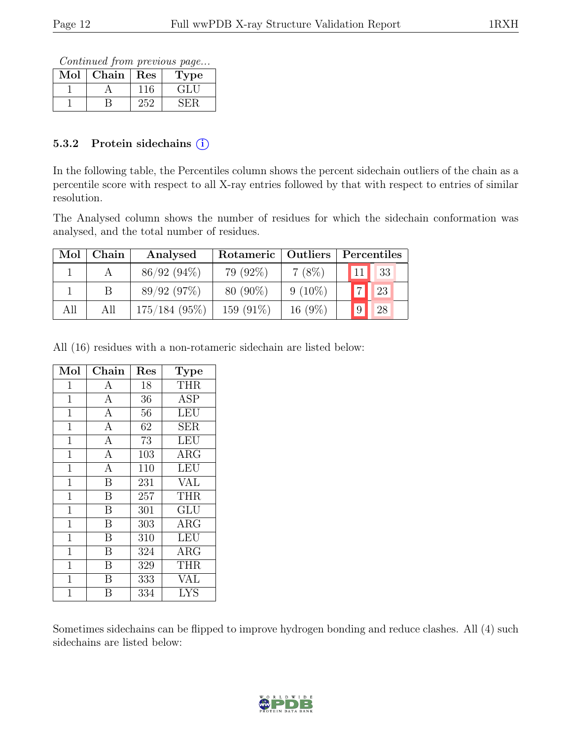Continued from previous page...

| Mol | Chain | Res | Type    |
|-----|-------|-----|---------|
|     |       |     | E FILIT |
|     |       | バッ  |         |

#### 5.3.2 Protein sidechains  $(i)$

In the following table, the Percentiles column shows the percent sidechain outliers of the chain as a percentile score with respect to all X-ray entries followed by that with respect to entries of similar resolution.

The Analysed column shows the number of residues for which the sidechain conformation was analysed, and the total number of residues.

| Mol | Chain | Analysed      | Rotameric   Outliers |            |                | Percentiles |
|-----|-------|---------------|----------------------|------------|----------------|-------------|
|     |       | $86/92(94\%)$ | $79(92\%)$           | $7(8\%)$   |                | 33          |
|     |       | 89/92(97%)    | 80 (90%)             | $9(10\%)$  | $\overline{a}$ | $\vert$ 23  |
| All | All   | 175/184(95%)  | 159 $(91\%)$         | 16 $(9\%)$ | $ 9\rangle$    | 28          |

All (16) residues with a non-rotameric sidechain are listed below:

| Mol            | Chain                   | $\operatorname{Res}% \left( \mathcal{N}\right) \equiv\operatorname{Res}(\mathcal{N}_{0},\mathcal{N}_{0})$ | <b>Type</b>                    |
|----------------|-------------------------|-----------------------------------------------------------------------------------------------------------|--------------------------------|
| 1              | А                       | 18                                                                                                        | <b>THR</b>                     |
| $\mathbf{1}$   | $\overline{A}$          | 36                                                                                                        | <b>ASP</b>                     |
| $\mathbf{1}$   | $\overline{A}$          | 56                                                                                                        | <b>LEU</b>                     |
| $\mathbf{1}$   | $\overline{A}$          | 62                                                                                                        | <b>SER</b>                     |
| $\mathbf{1}$   | $\overline{A}$          | 73                                                                                                        | <b>LEU</b>                     |
| 1              | $\mathbf{A}$            | 103                                                                                                       | ARG                            |
| $\mathbf{1}$   | $\overline{A}$          | 110                                                                                                       | LEU                            |
| $\mathbf{1}$   | $\overline{B}$          | 231                                                                                                       | <b>VAL</b>                     |
| $\mathbf{1}$   | $\overline{\mathrm{B}}$ | 257                                                                                                       | $\overline{\text{T}}\text{HR}$ |
| $\mathbf{1}$   | $\overline{B}$          | 301                                                                                                       | GLU                            |
| 1              | B                       | 303                                                                                                       | <b>ARG</b>                     |
| $\mathbf{1}$   | B                       | 310                                                                                                       | LEU                            |
| $\mathbf{1}$   | B                       | 324                                                                                                       | ARG                            |
| $\mathbf{1}$   | $\overline{\mathrm{B}}$ | 329                                                                                                       | <b>THR</b>                     |
| $\mathbf{1}$   | B                       | 333                                                                                                       | <b>VAL</b>                     |
| $\overline{1}$ | В                       | 334                                                                                                       | <b>LYS</b>                     |

Sometimes sidechains can be flipped to improve hydrogen bonding and reduce clashes. All (4) such sidechains are listed below:

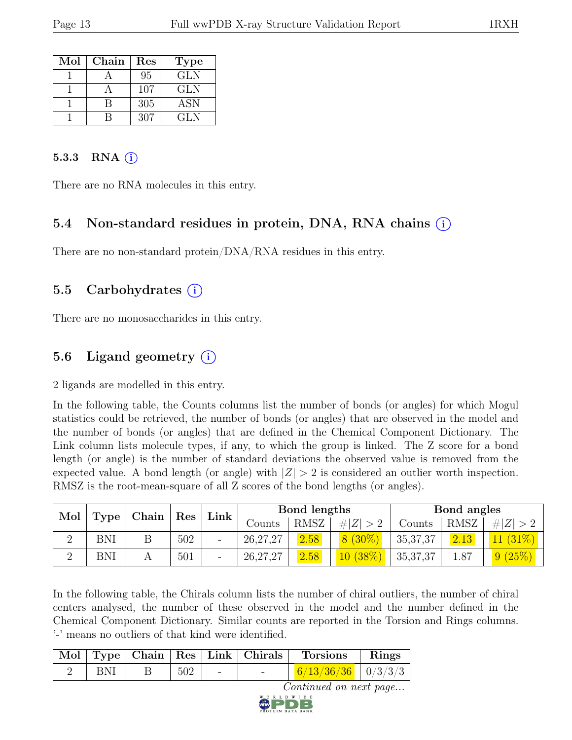| Mol | Chain | Res | <b>Type</b> |
|-----|-------|-----|-------------|
|     |       | 95  | GLN         |
|     |       | 107 | GLN         |
|     |       | 305 | <b>ASN</b>  |
|     |       | 307 | GL N        |

#### 5.3.3 RNA  $(i)$

There are no RNA molecules in this entry.

#### 5.4 Non-standard residues in protein, DNA, RNA chains (i)

There are no non-standard protein/DNA/RNA residues in this entry.

#### 5.5 Carbohydrates (i)

There are no monosaccharides in this entry.

### 5.6 Ligand geometry  $(i)$

2 ligands are modelled in this entry.

In the following table, the Counts columns list the number of bonds (or angles) for which Mogul statistics could be retrieved, the number of bonds (or angles) that are observed in the model and the number of bonds (or angles) that are defined in the Chemical Component Dictionary. The Link column lists molecule types, if any, to which the group is linked. The Z score for a bond length (or angle) is the number of standard deviations the observed value is removed from the expected value. A bond length (or angle) with  $|Z| > 2$  is considered an outlier worth inspection. RMSZ is the root-mean-square of all Z scores of the bond lengths (or angles).

|          |      |       |                      |                          |            |             | Bond lengths |            | Bond angles |            |  |
|----------|------|-------|----------------------|--------------------------|------------|-------------|--------------|------------|-------------|------------|--|
| Mol      | Type | Chain | $\operatorname{Res}$ | Link                     | Counts     | <b>RMSZ</b> | # $ Z  > 2$  | Counts     | RMSZ        | H Z        |  |
| $\Omega$ | BNI  |       | 502                  | $\overline{\phantom{0}}$ | 26, 27, 27 | 2.58        | $8(30\%)$    | 35, 37, 37 | 2.13        | $11(31\%)$ |  |
| $\Omega$ | BNI  |       | 501                  | -                        | 26, 27, 27 | 2.58        | 10(38%)      | 35, 37, 37 | 1.87        | 9(25%)     |  |

In the following table, the Chirals column lists the number of chiral outliers, the number of chiral centers analysed, the number of these observed in the model and the number defined in the Chemical Component Dictionary. Similar counts are reported in the Torsion and Rings columns. '-' means no outliers of that kind were identified.

|     |                  |                          | $\vert$ Mol $\vert$ Type $\vert$ Chain $\vert$ Res $\vert$ Link $\vert$ Chirals $\vert$ Torsions | $\vert$ Rings |
|-----|------------------|--------------------------|--------------------------------------------------------------------------------------------------|---------------|
| BNI | 502 <sub>1</sub> | <b>Contract Contract</b> |                                                                                                  |               |
|     |                  |                          |                                                                                                  |               |

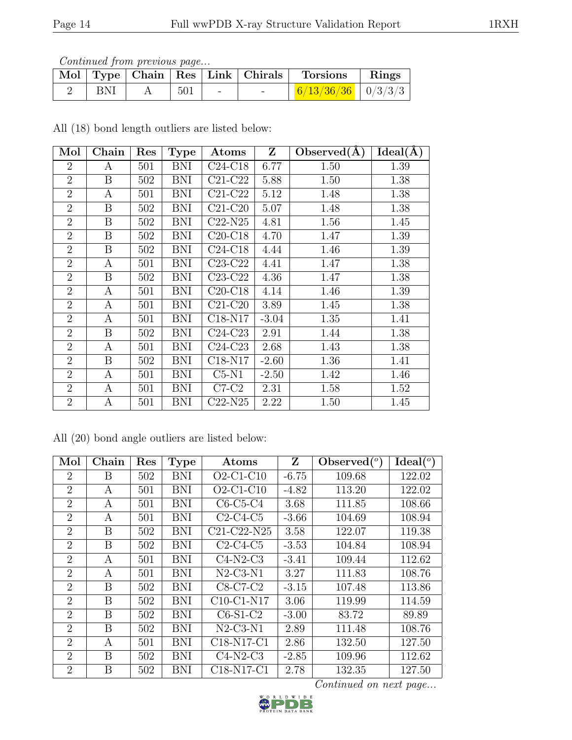Continued from previous page...

|            |     |  | Mol   Type   Chain   Res   Link   Chirals   Torsions   Rings |  |
|------------|-----|--|--------------------------------------------------------------|--|
| <b>BNI</b> | 501 |  |                                                              |  |

All (18) bond length outliers are listed below:

| Mol            | Chain            | Res | <b>Type</b> | Atoms     | Z       | Observed $(A)$ | $\overline{\text{Ideal}}(\AA)$ |
|----------------|------------------|-----|-------------|-----------|---------|----------------|--------------------------------|
| $\overline{2}$ | A                | 501 | BNI         | $C24-C18$ | 6.77    | 1.50           | 1.39                           |
| $\overline{2}$ | B                | 502 | <b>BNI</b>  | $C21-C22$ | 5.88    | 1.50           | 1.38                           |
| $\overline{2}$ | A                | 501 | <b>BNI</b>  | $C21-C22$ | 5.12    | 1.48           | 1.38                           |
| $\overline{2}$ | B                | 502 | <b>BNI</b>  | $C21-C20$ | 5.07    | 1.48           | 1.38                           |
| $\overline{2}$ | B                | 502 | <b>BNI</b>  | $C22-N25$ | 4.81    | 1.56           | 1.45                           |
| $\overline{2}$ | B                | 502 | <b>BNI</b>  | $C20-C18$ | 4.70    | 1.47           | 1.39                           |
| $\overline{2}$ | B                | 502 | <b>BNI</b>  | $C24-C18$ | 4.44    | 1.46           | 1.39                           |
| $\overline{2}$ | А                | 501 | <b>BNI</b>  | $C23-C22$ | 4.41    | 1.47           | 1.38                           |
| $\overline{2}$ | B                | 502 | BNI         | $C23-C22$ | 4.36    | 1.47           | 1.38                           |
| $\overline{2}$ | A                | 501 | <b>BNI</b>  | $C20-C18$ | 4.14    | 1.46           | 1.39                           |
| $\overline{2}$ | A                | 501 | <b>BNI</b>  | $C21-C20$ | 3.89    | 1.45           | 1.38                           |
| $\overline{2}$ | A                | 501 | <b>BNI</b>  | $C18-N17$ | $-3.04$ | 1.35           | 1.41                           |
| $\overline{2}$ | B                | 502 | <b>BNI</b>  | $C24-C23$ | 2.91    | 1.44           | 1.38                           |
| $\overline{2}$ | A                | 501 | <b>BNI</b>  | $C24-C23$ | 2.68    | 1.43           | 1.38                           |
| $\overline{2}$ | B                | 502 | BNI         | $C18-N17$ | $-2.60$ | 1.36           | 1.41                           |
| $\overline{2}$ | A                | 501 | BNI         | $C5-N1$   | $-2.50$ | 1.42           | 1.46                           |
| $\overline{2}$ | $\boldsymbol{A}$ | 501 | BNI         | $C7-C2$   | 2.31    | 1.58           | 1.52                           |
| $\overline{2}$ | А                | 501 | <b>BNI</b>  | $C22-N25$ | 2.22    | 1.50           | 1.45                           |

All (20) bond angle outliers are listed below:

| Mol            | Chain | Res | <b>Type</b> | Atoms        | Z       | Observed $(°)$ | Ideal $(°)$ |
|----------------|-------|-----|-------------|--------------|---------|----------------|-------------|
| $\overline{2}$ | Β     | 502 | <b>BNI</b>  | $O2-C1-C10$  | $-6.75$ | 109.68         | 122.02      |
| $\overline{2}$ | А     | 501 | <b>BNI</b>  | $O2-C1-C10$  | $-4.82$ | 113.20         | 122.02      |
| $\overline{2}$ | А     | 501 | <b>BNI</b>  | $C6-C5-C4$   | 3.68    | 111.85         | 108.66      |
| $\overline{2}$ | А     | 501 | <b>BNI</b>  | $C2-C4-C5$   | $-3.66$ | 104.69         | 108.94      |
| $\overline{2}$ | B     | 502 | <b>BNI</b>  | C21-C22-N25  | 3.58    | 122.07         | 119.38      |
| $\overline{2}$ | B     | 502 | <b>BNI</b>  | $C2-C4-C5$   | $-3.53$ | 104.84         | 108.94      |
| $\overline{2}$ | А     | 501 | <b>BNI</b>  | $C4-N2-C3$   | $-3.41$ | 109.44         | 112.62      |
| $\overline{2}$ | А     | 501 | <b>BNI</b>  | $N2-C3-N1$   | 3.27    | 111.83         | 108.76      |
| $\overline{2}$ | B     | 502 | <b>BNI</b>  | $C8-C7-C2$   | $-3.15$ | 107.48         | 113.86      |
| $\overline{2}$ | B     | 502 | <b>BNI</b>  | $C10-C1-N17$ | 3.06    | 119.99         | 114.59      |
| $\overline{2}$ | B     | 502 | <b>BNI</b>  | $C6-S1-C2$   | $-3.00$ | 83.72          | 89.89       |
| $\overline{2}$ | B     | 502 | <b>BNI</b>  | $N2-C3-N1$   | 2.89    | 111.48         | 108.76      |
| $\overline{2}$ | А     | 501 | <b>BNI</b>  | C18-N17-C1   | 2.86    | 132.50         | 127.50      |
| $\overline{2}$ | B     | 502 | <b>BNI</b>  | $C4-N2-C3$   | $-2.85$ | 109.96         | 112.62      |
| $\overline{2}$ | Β     | 502 | <b>BNI</b>  | C18-N17-C1   | 2.78    | 132.35         | 127.50      |

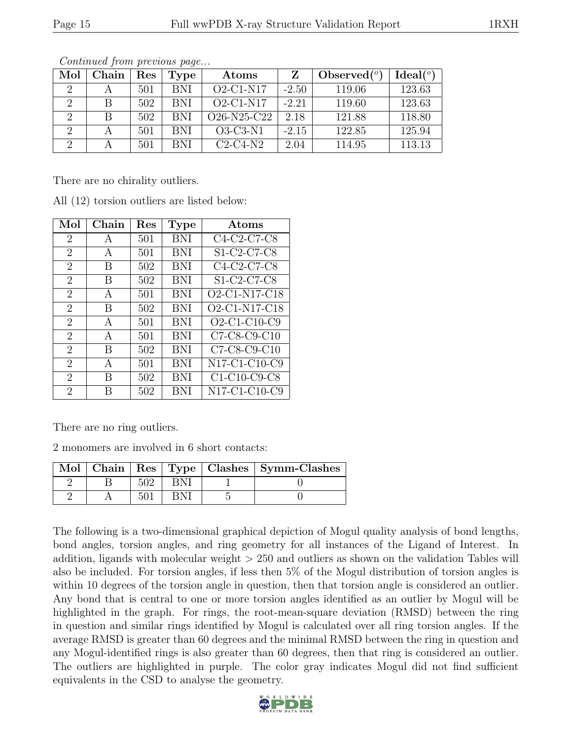| Mol | Chain | $\operatorname{Res}% \left( \mathcal{N}\right) \equiv\operatorname{Res}(\mathcal{N}_{0})\left( \mathcal{N}_{0}\right) ^{2}$ | Type       | Atoms       |         | Observed $(°)$ | Ideal <sup>(o)</sup> |
|-----|-------|-----------------------------------------------------------------------------------------------------------------------------|------------|-------------|---------|----------------|----------------------|
| 2   |       | 501                                                                                                                         | <b>BNI</b> | $O2-C1-N17$ | $-2.50$ | 119.06         | 123.63               |
|     |       | 502                                                                                                                         | <b>BNI</b> | $O2-C1-N17$ | $-2.21$ | 119.60         | 123.63               |
| 2   |       | 502                                                                                                                         | <b>BNI</b> | O26-N25-C22 | 2.18    | 121.88         | 118.80               |
| 2   |       | 501                                                                                                                         | <b>BNI</b> | $O3-C3-N1$  | $-2.15$ | 122.85         | 125.94               |
| റ   |       | 501                                                                                                                         | <b>BNI</b> | $C2-C4-N2$  | 2.04    | 114.95         | 113.13               |

Continued from previous page...

There are no chirality outliers.

| Mol                         | Chain | $\operatorname{Res}% \left( \mathcal{N}\right) \equiv\operatorname{Res}(\mathcal{N}_{0},\mathcal{N}_{0})$ | <b>Type</b> | Atoms                                                            |
|-----------------------------|-------|-----------------------------------------------------------------------------------------------------------|-------------|------------------------------------------------------------------|
| 2                           | A     | 501                                                                                                       | <b>BNI</b>  | C4-C2-C7-C8                                                      |
| $\overline{2}$              | A     | 501                                                                                                       | BNI         | S1-C2-C7-C8                                                      |
| $\overline{2}$              | В     | 502                                                                                                       | BNI         | C4-C2-C7-C8                                                      |
| $\overline{2}$              | В     | 502                                                                                                       | BNI         | S1-C2-C7-C8                                                      |
| $\overline{2}$              | A     | 501                                                                                                       | BNI         | $O2$ -C1-N17- $\overline{C18}$                                   |
| $\overline{2}$              | B     | 502                                                                                                       | BNI         | O <sub>2</sub> -C <sub>1</sub> -N <sub>17</sub> -C <sub>18</sub> |
| $\mathcal{D}_{\mathcal{L}}$ | A     | 501                                                                                                       | <b>BNI</b>  | $O2-C1-C10-C9$                                                   |
| $\overline{2}$              | A     | 501                                                                                                       | BNI         | $C7-C8-C9-C10$                                                   |
| $\overline{2}$              | B     | 502                                                                                                       | BNI         | C7-C8-C9-C10                                                     |
| $\overline{2}$              | A     | 501                                                                                                       | <b>BNI</b>  | N17-C1-C10-C9                                                    |
| $\mathfrak{D}$              | В     | 502                                                                                                       | BNI         | $C1-C10-C9-C8$                                                   |
| $\mathfrak{D}$              | R     | 502                                                                                                       | BNI         | N17-C1-C10-C9                                                    |

All (12) torsion outliers are listed below:

There are no ring outliers.

2 monomers are involved in 6 short contacts:

|  |  | Mol   Chain   Res   Type   Clashes   Symm-Clashes |
|--|--|---------------------------------------------------|
|  |  |                                                   |
|  |  |                                                   |

The following is a two-dimensional graphical depiction of Mogul quality analysis of bond lengths, bond angles, torsion angles, and ring geometry for all instances of the Ligand of Interest. In addition, ligands with molecular weight > 250 and outliers as shown on the validation Tables will also be included. For torsion angles, if less then 5% of the Mogul distribution of torsion angles is within 10 degrees of the torsion angle in question, then that torsion angle is considered an outlier. Any bond that is central to one or more torsion angles identified as an outlier by Mogul will be highlighted in the graph. For rings, the root-mean-square deviation (RMSD) between the ring in question and similar rings identified by Mogul is calculated over all ring torsion angles. If the average RMSD is greater than 60 degrees and the minimal RMSD between the ring in question and any Mogul-identified rings is also greater than 60 degrees, then that ring is considered an outlier. The outliers are highlighted in purple. The color gray indicates Mogul did not find sufficient equivalents in the CSD to analyse the geometry.

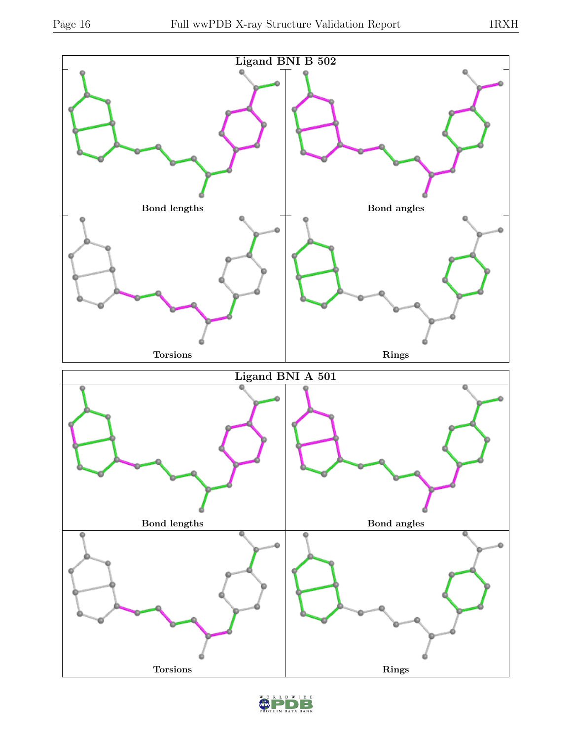

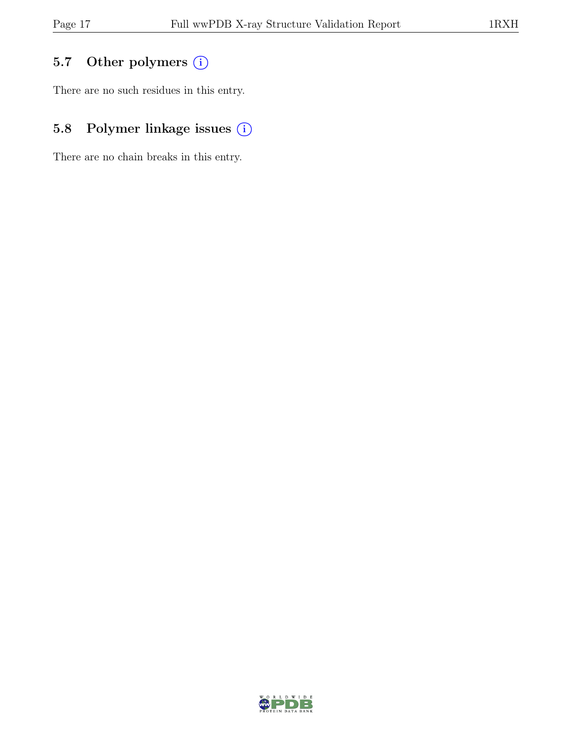## 5.7 Other polymers (i)

There are no such residues in this entry.

## 5.8 Polymer linkage issues (i)

There are no chain breaks in this entry.